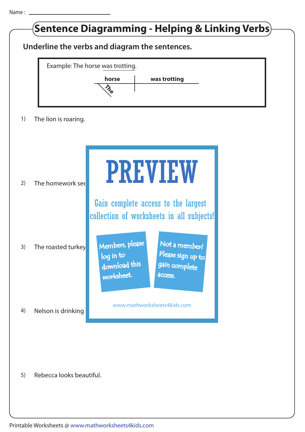